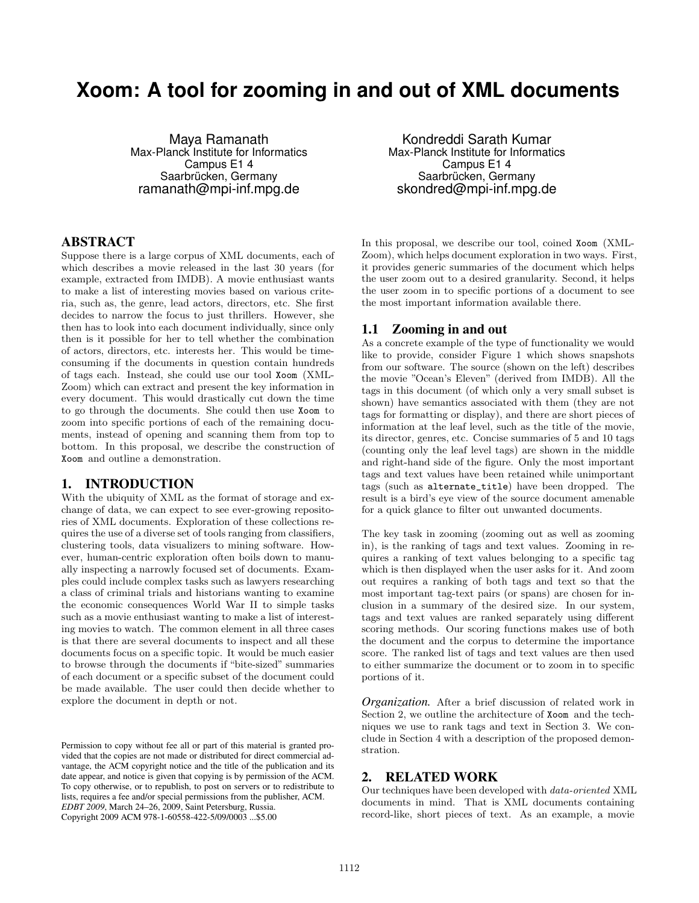# **Xoom: A tool for zooming in and out of XML documents**

Maya Ramanath Max-Planck Institute for Informatics Campus E1 4 Saarbrücken, Germany ramanath@mpi-inf.mpg.de

#### ABSTRACT

Suppose there is a large corpus of XML documents, each of which describes a movie released in the last 30 years (for example, extracted from IMDB). A movie enthusiast wants to make a list of interesting movies based on various criteria, such as, the genre, lead actors, directors, etc. She first decides to narrow the focus to just thrillers. However, she then has to look into each document individually, since only then is it possible for her to tell whether the combination of actors, directors, etc. interests her. This would be timeconsuming if the documents in question contain hundreds of tags each. Instead, she could use our tool Xoom (XML-Zoom) which can extract and present the key information in every document. This would drastically cut down the time to go through the documents. She could then use Xoom to zoom into specific portions of each of the remaining documents, instead of opening and scanning them from top to bottom. In this proposal, we describe the construction of Xoom and outline a demonstration.

#### 1. INTRODUCTION

With the ubiquity of XML as the format of storage and exchange of data, we can expect to see ever-growing repositories of XML documents. Exploration of these collections requires the use of a diverse set of tools ranging from classifiers, clustering tools, data visualizers to mining software. However, human-centric exploration often boils down to manually inspecting a narrowly focused set of documents. Examples could include complex tasks such as lawyers researching a class of criminal trials and historians wanting to examine the economic consequences World War II to simple tasks such as a movie enthusiast wanting to make a list of interesting movies to watch. The common element in all three cases is that there are several documents to inspect and all these documents focus on a specific topic. It would be much easier to browse through the documents if "bite-sized" summaries of each document or a specific subset of the document could be made available. The user could then decide whether to explore the document in depth or not.

Permission to copy without fee all or part of this material is granted provided that the copies are not made or distributed for direct commercial advantage, the ACM copyright notice and the title of the publication and its date appear, and notice is given that copying is by permission of the ACM. To copy otherwise, or to republish, to post on servers or to redistribute to lists, requires a fee and/or special permissions from the publisher, ACM. *EDBT 2009*, March 24–26, 2009, Saint Petersburg, Russia. Copyright 2009 ACM 978-1-60558-422-5/09/0003 ...\$5.00

Kondreddi Sarath Kumar Max-Planck Institute for Informatics Campus E1 4 Saarbrücken, Germany skondred@mpi-inf.mpg.de

In this proposal, we describe our tool, coined Xoom (XML-Zoom), which helps document exploration in two ways. First, it provides generic summaries of the document which helps the user zoom out to a desired granularity. Second, it helps the user zoom in to specific portions of a document to see the most important information available there.

#### 1.1 Zooming in and out

As a concrete example of the type of functionality we would like to provide, consider Figure 1 which shows snapshots from our software. The source (shown on the left) describes the movie "Ocean's Eleven" (derived from IMDB). All the tags in this document (of which only a very small subset is shown) have semantics associated with them (they are not tags for formatting or display), and there are short pieces of information at the leaf level, such as the title of the movie, its director, genres, etc. Concise summaries of 5 and 10 tags (counting only the leaf level tags) are shown in the middle and right-hand side of the figure. Only the most important tags and text values have been retained while unimportant tags (such as alternate\_title) have been dropped. The result is a bird's eye view of the source document amenable for a quick glance to filter out unwanted documents.

The key task in zooming (zooming out as well as zooming in), is the ranking of tags and text values. Zooming in requires a ranking of text values belonging to a specific tag which is then displayed when the user asks for it. And zoom out requires a ranking of both tags and text so that the most important tag-text pairs (or spans) are chosen for inclusion in a summary of the desired size. In our system, tags and text values are ranked separately using different scoring methods. Our scoring functions makes use of both the document and the corpus to determine the importance score. The ranked list of tags and text values are then used to either summarize the document or to zoom in to specific portions of it.

*Organization.* After a brief discussion of related work in Section 2, we outline the architecture of Xoom and the techniques we use to rank tags and text in Section 3. We conclude in Section 4 with a description of the proposed demonstration.

# 2. RELATED WORK

Our techniques have been developed with data-oriented XML documents in mind. That is XML documents containing record-like, short pieces of text. As an example, a movie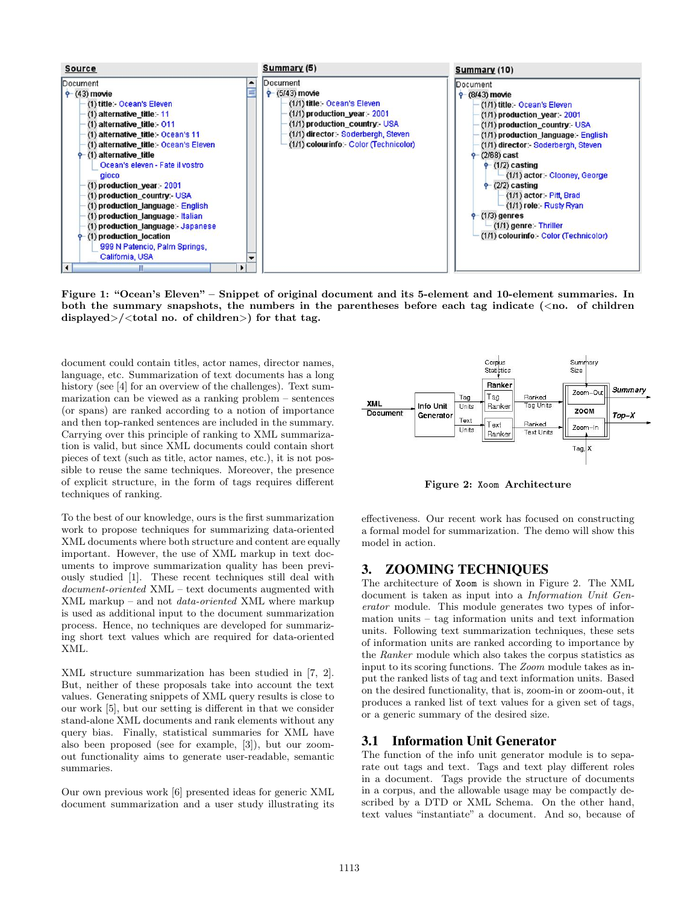

Figure 1: "Ocean's Eleven" – Snippet of original document and its 5-element and 10-element summaries. In both the summary snapshots, the numbers in the parentheses before each tag indicate  $(\langle$ no. of children displayed>/<total no. of children>) for that tag.

document could contain titles, actor names, director names, language, etc. Summarization of text documents has a long history (see [4] for an overview of the challenges). Text summarization can be viewed as a ranking problem – sentences (or spans) are ranked according to a notion of importance and then top-ranked sentences are included in the summary. Carrying over this principle of ranking to XML summarization is valid, but since XML documents could contain short pieces of text (such as title, actor names, etc.), it is not possible to reuse the same techniques. Moreover, the presence of explicit structure, in the form of tags requires different techniques of ranking.

To the best of our knowledge, ours is the first summarization work to propose techniques for summarizing data-oriented XML documents where both structure and content are equally important. However, the use of XML markup in text documents to improve summarization quality has been previously studied [1]. These recent techniques still deal with document-oriented XML – text documents augmented with XML markup – and not data-oriented XML where markup is used as additional input to the document summarization process. Hence, no techniques are developed for summarizing short text values which are required for data-oriented XML.

XML structure summarization has been studied in [7, 2]. But, neither of these proposals take into account the text values. Generating snippets of XML query results is close to our work [5], but our setting is different in that we consider stand-alone XML documents and rank elements without any query bias. Finally, statistical summaries for XML have also been proposed (see for example, [3]), but our zoomout functionality aims to generate user-readable, semantic summaries.

Our own previous work [6] presented ideas for generic XML document summarization and a user study illustrating its



Figure 2: Xoom Architecture

effectiveness. Our recent work has focused on constructing a formal model for summarization. The demo will show this model in action.

## 3. ZOOMING TECHNIQUES

The architecture of Xoom is shown in Figure 2. The XML document is taken as input into a Information Unit Generator module. This module generates two types of information units – tag information units and text information units. Following text summarization techniques, these sets of information units are ranked according to importance by the Ranker module which also takes the corpus statistics as input to its scoring functions. The Zoom module takes as input the ranked lists of tag and text information units. Based on the desired functionality, that is, zoom-in or zoom-out, it produces a ranked list of text values for a given set of tags, or a generic summary of the desired size.

## 3.1 Information Unit Generator

The function of the info unit generator module is to separate out tags and text. Tags and text play different roles in a document. Tags provide the structure of documents in a corpus, and the allowable usage may be compactly described by a DTD or XML Schema. On the other hand, text values "instantiate" a document. And so, because of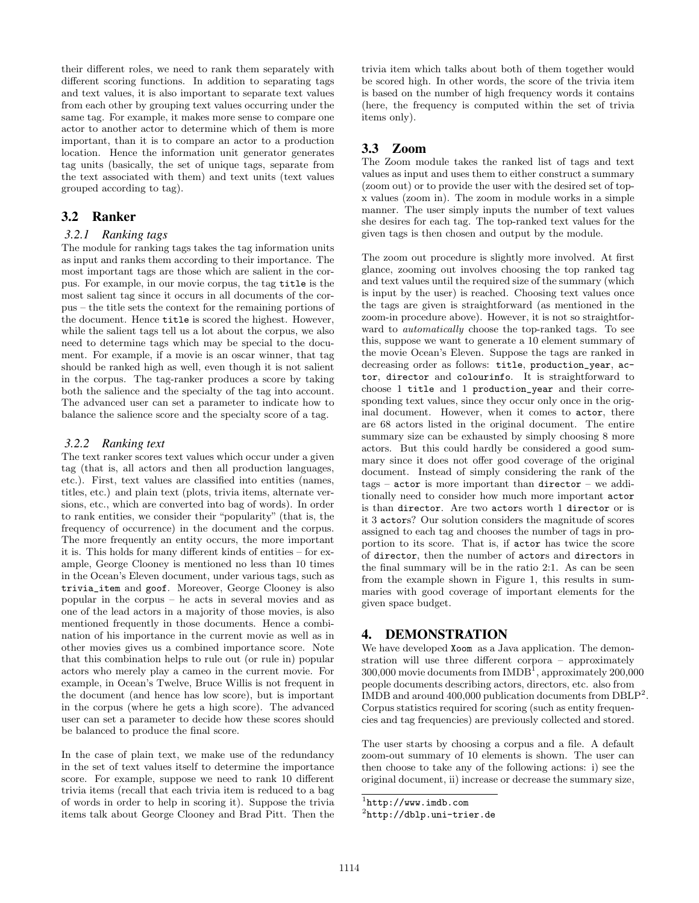their different roles, we need to rank them separately with different scoring functions. In addition to separating tags and text values, it is also important to separate text values from each other by grouping text values occurring under the same tag. For example, it makes more sense to compare one actor to another actor to determine which of them is more important, than it is to compare an actor to a production location. Hence the information unit generator generates tag units (basically, the set of unique tags, separate from the text associated with them) and text units (text values grouped according to tag).

# 3.2 Ranker

#### *3.2.1 Ranking tags*

The module for ranking tags takes the tag information units as input and ranks them according to their importance. The most important tags are those which are salient in the corpus. For example, in our movie corpus, the tag title is the most salient tag since it occurs in all documents of the corpus – the title sets the context for the remaining portions of the document. Hence title is scored the highest. However, while the salient tags tell us a lot about the corpus, we also need to determine tags which may be special to the document. For example, if a movie is an oscar winner, that tag should be ranked high as well, even though it is not salient in the corpus. The tag-ranker produces a score by taking both the salience and the specialty of the tag into account. The advanced user can set a parameter to indicate how to balance the salience score and the specialty score of a tag.

#### *3.2.2 Ranking text*

The text ranker scores text values which occur under a given tag (that is, all actors and then all production languages, etc.). First, text values are classified into entities (names, titles, etc.) and plain text (plots, trivia items, alternate versions, etc., which are converted into bag of words). In order to rank entities, we consider their "popularity" (that is, the frequency of occurrence) in the document and the corpus. The more frequently an entity occurs, the more important it is. This holds for many different kinds of entities – for example, George Clooney is mentioned no less than 10 times in the Ocean's Eleven document, under various tags, such as trivia\_item and goof. Moreover, George Clooney is also popular in the corpus – he acts in several movies and as one of the lead actors in a majority of those movies, is also mentioned frequently in those documents. Hence a combination of his importance in the current movie as well as in other movies gives us a combined importance score. Note that this combination helps to rule out (or rule in) popular actors who merely play a cameo in the current movie. For example, in Ocean's Twelve, Bruce Willis is not frequent in the document (and hence has low score), but is important in the corpus (where he gets a high score). The advanced user can set a parameter to decide how these scores should be balanced to produce the final score.

In the case of plain text, we make use of the redundancy in the set of text values itself to determine the importance score. For example, suppose we need to rank 10 different trivia items (recall that each trivia item is reduced to a bag of words in order to help in scoring it). Suppose the trivia items talk about George Clooney and Brad Pitt. Then the

trivia item which talks about both of them together would be scored high. In other words, the score of the trivia item is based on the number of high frequency words it contains (here, the frequency is computed within the set of trivia items only).

# 3.3 Zoom

The Zoom module takes the ranked list of tags and text values as input and uses them to either construct a summary (zoom out) or to provide the user with the desired set of topx values (zoom in). The zoom in module works in a simple manner. The user simply inputs the number of text values she desires for each tag. The top-ranked text values for the given tags is then chosen and output by the module.

The zoom out procedure is slightly more involved. At first glance, zooming out involves choosing the top ranked tag and text values until the required size of the summary (which is input by the user) is reached. Choosing text values once the tags are given is straightforward (as mentioned in the zoom-in procedure above). However, it is not so straightforward to automatically choose the top-ranked tags. To see this, suppose we want to generate a 10 element summary of the movie Ocean's Eleven. Suppose the tags are ranked in decreasing order as follows: title, production\_year, actor, director and colourinfo. It is straightforward to choose 1 title and 1 production\_year and their corresponding text values, since they occur only once in the original document. However, when it comes to actor, there are 68 actors listed in the original document. The entire summary size can be exhausted by simply choosing 8 more actors. But this could hardly be considered a good summary since it does not offer good coverage of the original document. Instead of simply considering the rank of the  $tags - actor$  is more important than director – we additionally need to consider how much more important actor is than director. Are two actors worth 1 director or is it 3 actors? Our solution considers the magnitude of scores assigned to each tag and chooses the number of tags in proportion to its score. That is, if actor has twice the score of director, then the number of actors and directors in the final summary will be in the ratio 2:1. As can be seen from the example shown in Figure 1, this results in summaries with good coverage of important elements for the given space budget.

#### 4. DEMONSTRATION

We have developed Xoom as a Java application. The demonstration will use three different corpora – approximately  $300,000$  movie documents from  $\text{IMDB}^1$ , approximately  $200,000$ people documents describing actors, directors, etc. also from IMDB and around  $400,000$  publication documents from DBLP<sup>2</sup>. Corpus statistics required for scoring (such as entity frequencies and tag frequencies) are previously collected and stored.

The user starts by choosing a corpus and a file. A default zoom-out summary of 10 elements is shown. The user can then choose to take any of the following actions: i) see the original document, ii) increase or decrease the summary size,

 $\frac{1}{1}$ http://www.imdb.com

 $^{2}$ http://dblp.uni-trier.de